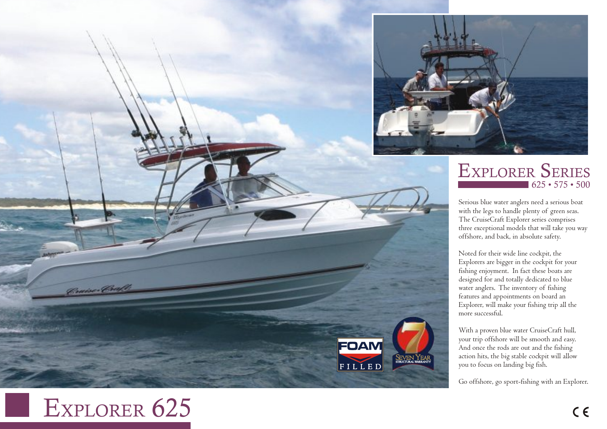

## $625 \cdot 575 \cdot 500$ EXPLORER SERIES

Serious blue water anglers need a serious boat with the legs to handle plenty of g reen seas. The CruiseCraft Explorer series comprises three e xceptional models that will take you w ay offshore, and back, in absolute safety.

Noted for their wide line cockpit, the Explorers are big ger in the cockpit for your fishing enjoyment. In fact these boats are<br>designed for and totally dedicated to blue water anglers. The inventory of fishing<br>features and appointments on board an Explorer, will make your fishing trip all the more successful.

With a proven blue water CruiseCraft hull, your trip offshore will be smooth and easy. And once the rods are out and the fishing action hits, the big stable cockpit will allow you to focus on landing big fish.

SEVEN<sub>S</sub>

FOAM

FILLEI

STRUCTURAL

YEAR

WARRANTY

Go offshore, go sport-fishing with an Explorer .

## EXPLORER 625

Cruise Cray